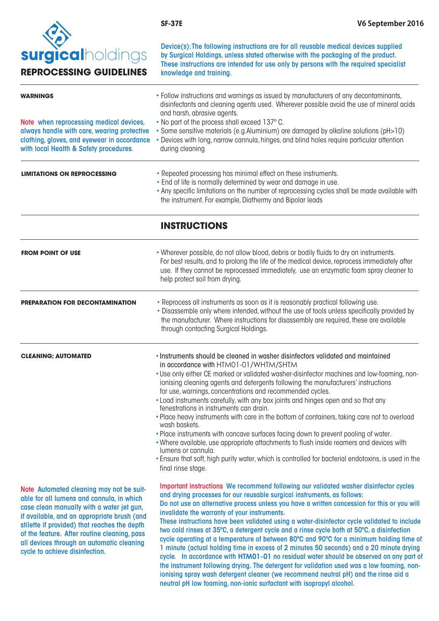

 Device(s): The following instructions are for all reusable medical devices supplied by Surgical Holdings, unless stated otherwise with the packaging of the product. These instructions are intended for use only by persons with the required specialist

| <b>surgical</b> holdings<br><b>REPROCESSING GUIDELINES</b>                                                                           | by Surgical Holdings, unless stated otherwise with the packaging of the product.<br>These instructions are intended for use only by persons with the required specialist<br>knowledge and training.                                                                                           |
|--------------------------------------------------------------------------------------------------------------------------------------|-----------------------------------------------------------------------------------------------------------------------------------------------------------------------------------------------------------------------------------------------------------------------------------------------|
| <b>WARNINGS</b>                                                                                                                      | • Follow instructions and warnings as issued by manufacturers of any decontaminants,<br>disinfectants and cleaning agents used. Wherever possible avoid the use of mineral acids<br>and harsh, abrasive agents.                                                                               |
| Note when reprocessing medical devices,                                                                                              | . No part of the process shall exceed 137°C.                                                                                                                                                                                                                                                  |
| always handle with care, wearing protective<br>clothing, gloves, and eyewear in accordance<br>with local Health & Safety procedures. | • Some sensitive materials (e.g. Aluminium) are damaged by alkaline solutions (pH>10)<br>• Devices with long, narrow cannula, hinges, and blind holes require particular attention<br>during cleaning.                                                                                        |
| <b>LIMITATIONS ON REPROCESSING</b>                                                                                                   | • Repeated processing has minimal effect on these instruments.<br>. End of life is normally determined by wear and damage in use.<br>• Any specific limitations on the number of reprocessing cycles shall be made available with<br>the instrument. For example, Diathermy and Bipolar leads |
|                                                                                                                                      | <b>INSTRUCTIONS</b>                                                                                                                                                                                                                                                                           |
| <b>FROM POINT OF USE</b>                                                                                                             | . Wherever possible, do not allow blood, debris or bodily fluids to dry on instruments.<br>For best results, and to prolong the life of the medical device, reprocess immediately after<br>use. If they cannot be reprocessed immediately, use an enzymatic foam spray cleaner to             |

| <b>CLEANING: AUTOMATED</b>             | through contacting Surgical Holdings.<br>• Instruments should be cleaned in washer disinfectors validated and maintained                                                                                                                                                  |  |
|----------------------------------------|---------------------------------------------------------------------------------------------------------------------------------------------------------------------------------------------------------------------------------------------------------------------------|--|
| <b>PREPARATION FOR DECONTAMINATION</b> | • Reprocess all instruments as soon as it is reasonably practical following use.<br>• Disassemble only where intended, without the use of tools unless specifically provided by<br>the manufacturer. Where instructions for disassembly are required, these are available |  |

help protect soil from drying.

Note Automated cleaning may not be suitable for all lumens and cannula, in which case clean manually with a water jet gun, if available, and an appropriate brush (and stilette if provided) that reaches the depth of the feature. After routine cleaning, pass all devices through an automatic cleaning cycle to achieve disinfection.

in accordance with HTM01-01/WHTM/SHTM

- Use only either CE marked or validated washer-disinfector machines and low-foaming, nonionising cleaning agents and detergents following the manufacturers' instructions for use, warnings, concentrations and recommended cycles.
- Load instruments carefully, with any box joints and hinges open and so that any fenestrations in instruments can drain.
- Place heavy instruments with care in the bottom of containers, taking care not to overload wash baskets.
- Place instruments with concave surfaces facing down to prevent pooling of water.
- •Where available, use appropriate attachments to flush inside reamers and devices with lumens or cannula.
- Ensure that soft, high purity water, which is controlled for bacterial endotoxins, is used in the final rinse stage.

Important instructions We recommend following our validated washer disinfector cycles and drying processes for our reusable surgical instruments, as follows: Do not use an alternative process unless you have a written concession for this or you will invalidate the warranty of your instruments.

These instructions have been validated using a water-disinfector cycle validated to include two cold rinses at 35ºC, a detergent cycle and a rinse cycle both at 50ºC, a disinfection cycle operating at a temperature of between 80ºC and 90ºC for a minimum holding time of 1 minute (actual holding time in excess of 2 minutes 50 seconds) and a 20 minute drying cycle. In accordance with **HTM01-01** no residual water should be observed on any part of the instrument following drying. The detergent for validation used was a low foaming, nonionising spray wash detergent cleaner (we recommend neutral pH) and the rinse aid a neutral pH low foaming, non-ionic surfactant with isopropyl alcohol.